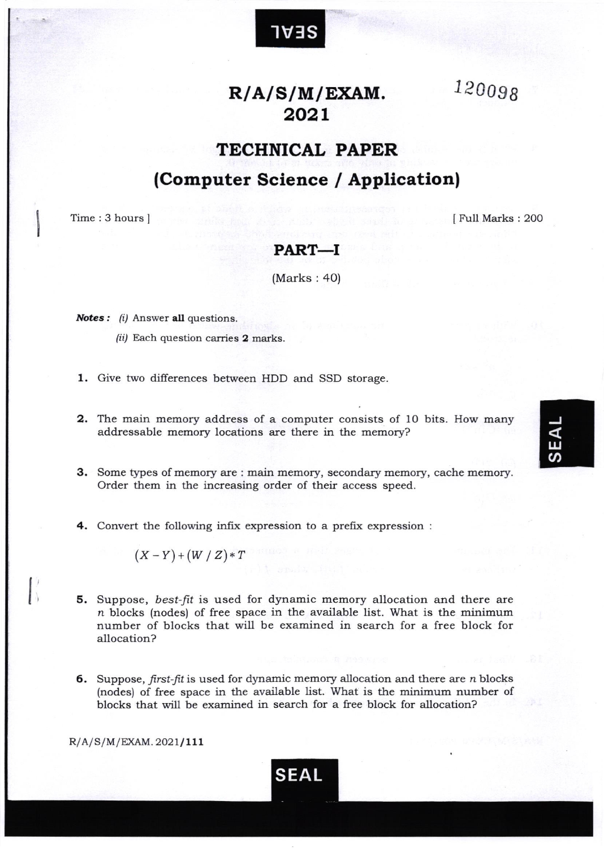

IV]S

120098

# TECHNICAL PAPER

# (Computer Science / Application)

Time: 3 hours ]

t I

 $\vert$ 

<sup>I</sup>Full Marks : 200

### PART\_I

(Marks : 40)

**Notes:**  $(i)$  Answer all questions.

- (ii) Each question carries 2 marks.
- 1. Give two differences between HDD and SSD storage.
- 2. The main memory address of a computer consists of 10 bits. How many addressable memory locations are there in the memory?
- 3. Some types of memory are : main memory, secondary memory, cache memory. Order them in the increasing order of their access speed.
- 4. Convert the following infix expression to a prefix expression :

 $(X-Y)+(W/Z)*T$ 

- 5. Suppose, best-fit is used for dynamic memory allocation and there are n blocks (nodes) of free space in the available list. What is the minimum number of blocks that will be examined in search for a free block for allocation?
- 6. Suppose, first-fit is used for dynamic memory allocation and there are  $n$  blocks (nodes) of free space in the available list. What is the minimum number of blocks that will be examined in search for a free block for allocation?

 $R/A/S/M/EXAM. 2021/111$ 



ພ<br>ຕ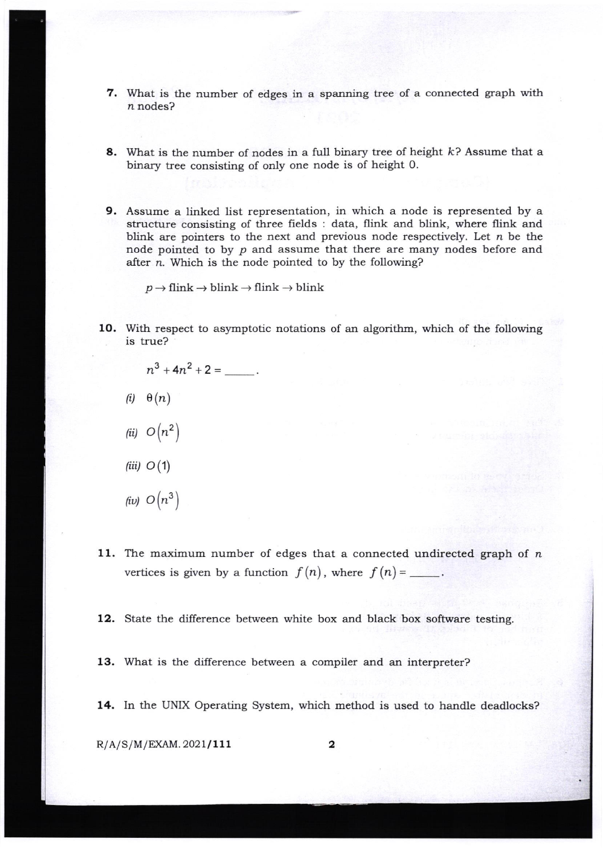- 7. What is the number of edges in a spanning tree of a connected graph with n nodes?
- 8. What is the number of nodes in a full binary tree of height  $k$ ? Assume that a binary tree consisting of only one node is of height 0.
- 9. Assume a linked list representation, in which a node is represented by <sup>a</sup> structure consisting of three fields : data, flink and blink, where flink and blink are pointers to the next and previous node respectively. Let  $n$  be the node pointed to by  $p$  and assume that there are many nodes before and after n. Which is the node pointed to by the following?

 $p \rightarrow$  flink  $\rightarrow$  blink  $\rightarrow$  flink  $\rightarrow$  blink

10. With respect to asymptotic notations of an algorithm, which of the following is true?

$$
n^{3} + 4n^{2} + 2 = \underline{\hspace{1cm}}.
$$
  
(i)  $\theta(n)$   
(ii)  $O(n^{2})$   
(iii)  $O(1)$   
(iv)  $O(n^{3})$ 

11. The maximum number of edges that a connected undirected graph of  $n$ vertices is given by a function  $f(n)$ , where  $f(n) =$ .

12. State the difference between white box and black box software testing.

- 13. What is the difference between a compiler and an interpreter?
- 14. In the UNIX Operating System, which method is used to handle deadlocks?

 $R/A/S/M/EXAM. 2021/111$  2